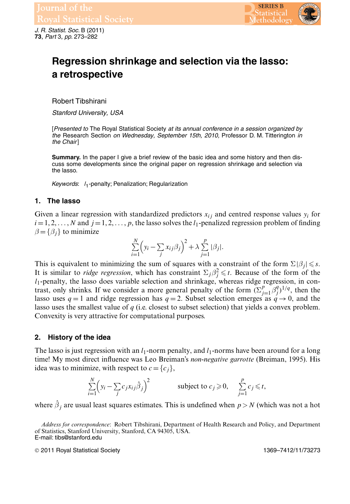

*J. R. Statist. Soc.* B (2011) **73**, *Part* 3, *pp.* 273–282

# **Regression shrinkage and selection via the lasso: a retrospective**

Robert Tibshirani

*Stanford University, USA*

[*Presented to* The Royal Statistical Society *at its annual conference in a session organized by the* Research Section *on Wednesday, September 15th, 2010,* Professor D. M. Titterington *in the Chair*]

**Summary.** In the paper I give a brief review of the basic idea and some history and then discuss some developments since the original paper on regression shrinkage and selection via the lasso.

*Keywords*: *l*1-penalty; Penalization; Regularization

### **1. The lasso**

Given a linear regression with standardized predictors  $x_{ij}$  and centred response values  $y_i$  for  $i=1, 2, \ldots, N$  and  $j=1, 2, \ldots, p$ , the lasso solves the  $l_1$ -penalized regression problem of finding  $\beta = {\beta_i}$  to minimize

$$
\sum_{i=1}^{N} \left( y_i - \sum_j x_{ij} \beta_j \right)^2 + \lambda \sum_{j=1}^{p} |\beta_j|.
$$

This is equivalent to minimizing the sum of squares with a constraint of the form  $\Sigma |\beta_j| \leq s$ .<br>It is similar to *ridge regression*, which has constraint  $\Sigma |\beta^2 \leq t$ . Because of the form of the It is similar to *ridge regression*, which has constraint  $\Sigma_j \beta_j^2 \le t$ . Because of the form of the lasso does variable selection and shrinkage whereas ridge regression in con $l_1$ -penalty, the lasso does variable selection and shrinkage, whereas ridge regression, in contrast, only shrinks. If we consider a more general penalty of the form  $(\sum_{j=1}^{p} \beta_j^q)^{1/q}$ , then the lasso uses  $q-1$  and tidge regression has  $q-2$ . Subset selection emerges as  $q \to 0$  and the lasso uses  $q = 1$  and ridge regression has  $q = 2$ . Subset selection emerges as  $q \rightarrow 0$ , and the lasso uses the smallest value of *q* (i.e. closest to subset selection) that yields a convex problem. Convexity is very attractive for computational purposes.

### **2. History of the idea**

The lasso is just regression with an  $l_1$ -norm penalty, and  $l_1$ -norms have been around for a long time! My most direct influence was Leo Breiman's *non-negative garrotte* (Breiman, 1995). His idea was to minimize, with respect to  $c = \{c_i\}$ ,

$$
\sum_{i=1}^{N} \left( y_i - \sum_j c_j x_{ij} \hat{\beta}_j \right)^2 \qquad \text{subject to } c_j \geqslant 0, \quad \sum_{j=1}^{p} c_j \leqslant t,
$$

where  $\hat{\beta}_j$  are usual least squares estimates. This is undefined when  $p > N$  (which was not a hot

*Address for correspondence*: Robert Tibshirani, Department of Health Research and Policy, and Department of Statistics, Stanford University, Stanford, CA 94305, USA. E-mail: tibs@stanford.edu

© 2011 Royal Statistical Society 1369–7412/11/73273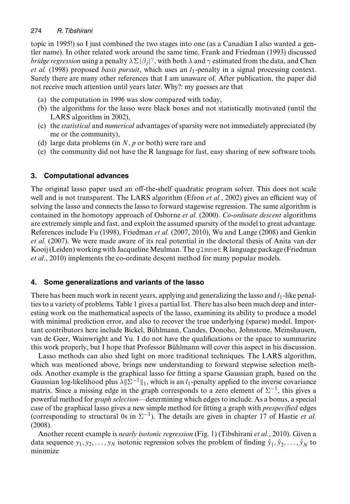### 274 *R. Tibshirani*

topic in 1995!) so I just combined the two stages into one (as a Canadian I also wanted a gentler name). In other related work around the same time, Frank and Friedman (1993) discussed *bridge regression* using a penalty  $\lambda \Sigma |\beta_j|^\gamma$ , with both  $\lambda$  and  $\gamma$  estimated from the data, and Chen<br>*et al.* (1998) proposed *basis pursuit*, which uses an *l*<sub>1</sub>-penalty in a signal processing context *et al.* (1998) proposed *basis pursuit*, which uses an  $l_1$ -penalty in a signal processing context. Surely there are many other references that I am unaware of. After publication, the paper did not receive much attention until years later. Why?: my guesses are that

- (a) the computation in 1996 was slow compared with today,
- (b) the algorithms for the lasso were black boxes and not statistically motivated (until the LARS algorithm in 2002),
- (c) the *statistical* and *numerical* advantages of sparsity were not immediately appreciated (by me or the community),
- (d) large data problems (in *N*, *p* or both) were rare and
- (e) the community did not have the R language for fast, easy sharing of new software tools.

# **3. Computational advances**

The original lasso paper used an off-the-shelf quadratic program solver. This does not scale well and is not transparent. The LARS algorithm (Efron *et al.*, 2002) gives an efficient way of solving the lasso and connects the lasso to forward stagewise regression. The same algorithm is contained in the homotopy approach of Osborne *et al.* (2000). *Co-ordinate descent* algorithms are extremely simple and fast, and exploit the assumed sparsity of the model to great advantage. References include Fu (1998), Friedman *et al.* (2007, 2010), Wu and Lange (2008) and Genkin *et al.* (2007). We were made aware of its real potential in the doctoral thesis of Anita van der Kooij (Leiden) working with Jacqueline Meulman. The glmnet R language package (Friedman *et al.*, 2010) implements the co-ordinate descent method for many popular models.

# **4. Some generalizations and variants of the lasso**

There has been much work in recent years, applying and generalizing the lasso and  $l_1$ -like penalties to a variety of problems. Table 1 gives a partial list. There has also been much deep and interesting work on the mathematical aspects of the lasso, examining its ability to produce a model with minimal prediction error, and also to recover the true underlying (sparse) model. Important contributors here include Bickel, Bühlmann, Candes, Donoho, Johnstone, Meinshausen, van de Geer, Wainwright and Yu. I do not have the qualifications or the space to summarize this work properly, but I hope that Professor Bühlmann will cover this aspect in his discussion.

Lasso methods can also shed light on more traditional techniques. The LARS algorithm, which was mentioned above, brings new understanding to forward stepwise selection methods. Another example is the graphical lasso for fitting a sparse Gaussian graph, based on the Gaussian log-likelihood plus  $\lambda \|\Sigma^{-1}\|_1$ , which is an l<sub>1</sub>-penalty applied to the inverse covariance matrix. Since a missing edge in the graph corresponds to a zero element of  $\Sigma^{-1}$ , this gives a powerful method for *graph selection*—determining which edges to include. As a bonus, a special case of the graphical lasso gives a new simple method for fitting a graph with *prespecified* edges (corresponding to structural 0s in  $\Sigma^{-1}$ ). The details are given in chapter 17 of Hastie *et al.* (2008).

Another recent example is *nearly isotonic regression* (Fig. 1) (Tibshirani *et al.*, 2010). Given a data sequence  $y_1, y_2,..., y_N$  isotonic regression solves the problem of finding  $\hat{y}_1, \hat{y}_2,..., \hat{y}_N$  to minimize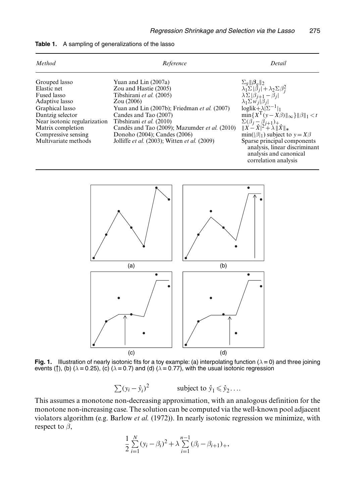| Method                        | Reference                                            | Detail                                                                                                                                                                   |
|-------------------------------|------------------------------------------------------|--------------------------------------------------------------------------------------------------------------------------------------------------------------------------|
| Grouped lasso<br>Elastic net  | Yuan and Lin (2007a)<br>Zou and Hastie (2005)        | $\begin{array}{l}\Sigma_g \ \boldsymbol{\beta}_g\ _2\\ \lambda_1 \Sigma \ \beta_j\  + \lambda_2 \Sigma \beta_j^2\\ \lambda \Sigma \ \beta_{j+1} - \beta_j\  \end{array}$ |
| Fused lasso<br>Adaptive lasso | Tibshirani et al. (2005)<br>Zou(2006)                | $\lambda_1 \Sigma w_j  \bar{\beta}_j $                                                                                                                                   |
| Graphical lasso               | Yuan and Lin (2007b); Friedman <i>et al.</i> (2007)  | loglik+ $\lambda  \Sigma^{-1} _1$                                                                                                                                        |
| Dantzig selector              | Candes and Tao (2007)                                | $\min\{X^{T}(y-X\beta)\ _{\infty}\}\ \beta\ _{1} < t$                                                                                                                    |
| Near isotonic regularization  | Tibshirani et al. (2010)                             | $\Sigma(\beta_j - \beta_{j+1})_+$                                                                                                                                        |
| Matrix completion             | Candès and Tao (2009); Mazumder <i>et al.</i> (2010) | $\ X-X\ ^2 + \lambda \ X\ _*$                                                                                                                                            |
| Compressive sensing           | Donoho (2004); Candes (2006)                         | $min( \beta _1)$ subject to $y = X\beta$                                                                                                                                 |
| Multivariate methods          | Jolliffe et al. (2003); Witten et al. (2009)         | Sparse principal components<br>analysis, linear discriminant<br>analysis and canonical<br>correlation analysis                                                           |





**Fig. 1.** Illustration of nearly isotonic fits for a toy example: (a) interpolating function ( $\lambda = 0$ ) and three joining events ( $\uparrow$ ), (b) ( $\lambda$  = 0.25), (c) ( $\lambda$  = 0.7) and (d) ( $\lambda$  = 0.77), with the usual isotonic regression

 $\sum (y_i - \hat{y}_i)^2$  subject to  $\hat{y}_1 \le \hat{y}_2$ ...

This assumes a monotone non-decreasing approximation, with an analogous definition for the monotone non-increasing case. The solution can be computed via the well-known pool adjacent violators algorithm (e.g. Barlow *et al.* (1972)). In nearly isotonic regression we minimize, with respect to  $\beta$ ,

$$
\frac{1}{2}\sum_{i=1}^{N}(y_i-\beta_i)^2+\lambda\sum_{i=1}^{n-1}(\beta_i-\beta_{i+1})_+,
$$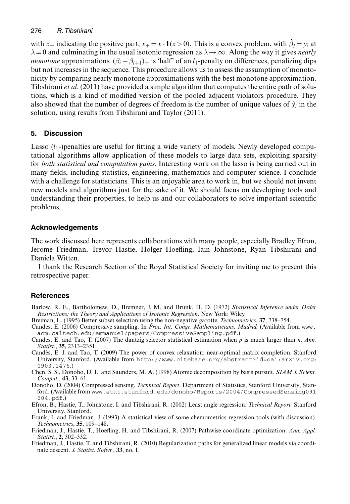with x<sub>+</sub> indicating the positive part,  $x_+ = x \cdot \mathbf{1}(x > 0)$ . This is a convex problem, with  $\hat{\beta}_i = y_i$  at  $\lambda = 0$  and culminating in the usual isotonic regression as  $\lambda \to \infty$ . Along the way it gives *nearly*  $\lambda$  = 0 and culminating in the usual isotonic regression as  $\lambda \rightarrow \infty$ . Along the way it gives *nearly monotone* approximations.  $(\beta_i - \beta_{i+1})_+$  is 'half' of an l<sub>1</sub>-penalty on differences, penalizing dips but not increases in the sequence. This procedure allows us to assess the assumption of monotonicity by comparing nearly monotone approximations with the best monotone approximation. Tibshirani *et al.* (2011) have provided a simple algorithm that computes the entire path of solutions, which is a kind of modified version of the pooled adjacent violators procedure. They also showed that the number of degrees of freedom is the number of unique values of  $\hat{y}_i$  in the solution, using results from Tibshirani and Taylor (2011).

# **5. Discussion**

Lasso  $(l_1$ -)penalties are useful for fitting a wide variety of models. Newly developed computational algorithms allow application of these models to large data sets, exploiting sparsity for *both statistical and computation gains*. Interesting work on the lasso is being carried out in many fields, including statistics, engineering, mathematics and computer science. I conclude with a challenge for statisticians. This is an enjoyable area to work in, but we should not invent new models and algorithms just for the sake of it. We should focus on developing tools and understanding their properties, to help us and our collaborators to solve important scientific problems.

# **Acknowledgements**

The work discussed here represents collaborations with many people, especially Bradley Efron, Jerome Friedman, Trevor Hastie, Holger Hoefling, Iain Johnstone, Ryan Tibshirani and Daniela Witten.

I thank the Research Section of the Royal Statistical Society for inviting me to present this retrospective paper.

# **References**

- Barlow, R. E., Bartholomew, D., Bremner, J. M. and Brunk, H. D. (1972) *Statistical Inference under Order Restrictions; the Theory and Applications of Isotonic Regression*. New York: Wiley.
- Breiman, L. (1995) Better subset selection using the non-negative garotte. *Technometrics*, **37**, 738–754.
- Candes, E. (2006) Compressive sampling. In *Proc. Int. Congr. Mathematicians, Madrid.* (Available from www. acm.caltech.edu/emmanuel/papers/CompressiveSampling.pdf.)
- Candes, E. and Tao, T. (2007) The dantzig selector statistical estimation when *p* is much larger than *n*. *Ann. Statist.*, **35**, 2313–2351.
- Candès, E. J. and Tao, T. (2009) The power of convex relaxation: near-optimal matrix completion. Stanford University, Stanford. (Available from http://www.citebase.org/abstract?id=oai:arXiv.org: 0903.1476.)
- Chen, S. S., Donoho, D. L. and Saunders, M. A. (1998) Atomic decomposition by basis pursuit. *SIAM J. Scient. Comput.*, **43**, 33–61.
- Donoho, D. (2004) Compressed sensing. *Technical Report*. Department of Statistics, Stanford University, Stanford. (Available from www.stat.stanford.edu/donoho/Reports/2004/CompressedSensing091 604.pdf.)
- Efron, B., Hastie, T., Johnstone, I. and Tibshirani, R. (2002) Least angle regression. *Technical Report.* Stanford University, Stanford.
- Frank, I. and Friedman, J. (1993) A statistical view of some chemometrics regression tools (with discussion). *Technometrics*, **35**, 109–148.
- Friedman, J., Hastie, T., Hoefling, H. and Tibshirani, R. (2007) Pathwise coordinate optimization. *Ann. Appl. Statist.*, **2**, 302–332.
- Friedman, J., Hastie, T. and Tibshirani, R. (2010) Regularization paths for generalized linear models via coordinate descent. *J. Statist. Sofwr.*, **33**, no. 1.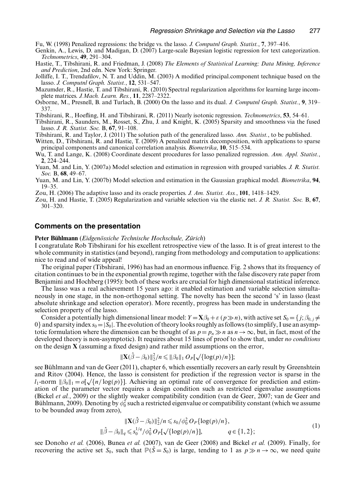Fu, W. (1998) Penalized regressions: the bridge vs. the lasso. *J. Computnl Graph. Statist.*, **7**, 397–416.

- Genkin, A., Lewis, D. and Madigan, D. (2007) Large-scale Bayesian logistic regression for text categorization. *Technometrics*, **49**, 291–304.
- Hastie, T., Tibshirani, R. and Friedman, J. (2008) *The Elements of Statistical Learning; Data Mining, Inference and Prediction*, 2nd edn. New York: Springer.
- Jolliffe, I. T., Trendafilov, N. T. and Uddin, M. (2003) A modified principal.component technique based on the lasso. *J. Computnl Graph. Statist.*, **12**, 531–547.
- Mazumder, R., Hastie, T. and Tibshirani, R. (2010) Spectral regularization algorithms for learning large incomplete matrices. *J.Mach. Learn. Res.*, **11**, 2287–2322.
- Osborne, M., Presnell, B. and Turlach, B. (2000) On the lasso and its dual. *J. Computnl Graph. Statist.*, **9**, 319– 337.
- Tibshirani, R., Hoefling, H. and Tibshirani, R. (2011) Nearly isotonic regression. *Technometrics*, **53**, 54–61.
- Tibshirani, R., Saunders, M., Rosset, S., Zhu, J. and Knight, K. (2005) Sparsity and smoothness via the fused lasso. *J. R. Statist. Soc.* B, **67**, 91–108.
- Tibshirani, R. and Taylor, J. (2011) The solution path of the generalized lasso. *Ann. Statist.*, to be published.

Witten, D., Tibshirani, R. and Hastie, T. (2009) A penalized matrix decomposition, with applications to sparse principal components and canonical correlation analysis. *Biometrika*, **10**, 515–534.

- Wu, T. and Lange, K. (2008) Coordinate descent procedures for lasso penalized regression. *Ann. Appl. Statist.*, **2**, 224–244.
- Yuan, M. and Lin, Y. (2007a) Model selection and estimation in regression with grouped variables. *J. R. Statist. Soc.* B, **68**, 49–67.
- Yuan, M. and Lin, Y. (2007b) Model selection and estimation in the Gaussian graphical model. *Biometrika*, **94**, 19–35.

Zou, H. (2006) The adaptive lasso and its oracle properties. *J. Am. Statist. Ass.*, **101**, 1418–1429.

Zou, H. and Hastie, T. (2005) Regularization and variable selection via the elastic net. *J. R. Statist. Soc.* B, **67**, 301–320.

#### **Comments on the presentation**

#### **Peter Bühlmann** (*Eidgenössiche Technische Hochschule, Zürich*)

I congratulate Rob Tibshirani for his excellent retrospective view of the lasso. It is of great interest to the whole community in statistics (and beyond), ranging from methodology and computation to applications: nice to read and of wide appeal!

The original paper (Tibshirani, 1996) has had an enormous influence. Fig. 2 shows that its frequency of citation continues to be in the exponential growth regime, together with the false discovery rate paper from Benjamini and Hochberg (1995): both of these works are crucial for high dimensional statistical inference.

The lasso was a real achievement 15 years ago: it enabled estimation and variable selection simultaneously in one stage, in the non-orthogonal setting. The novelty has been the second 's' in lasso (least absolute shrinkage and selection operator). More recently, progress has been made in understanding the selection property of the lasso.

Consider a potentially high dimensional linear model:  $Y = \mathbf{X}\beta_0 + \varepsilon (p \gg n)$ , with active set  $S_0 = \{j; \beta_0, j \neq n\}$ 0} and sparsity index  $s_0 = |S_0|$ . The evolution of theory looks roughly as follows (to simplify, I use an asymptotic formulation where the dimension can be thought of as  $p = p_n \gg n$  as  $n \to \infty$ , but, in fact, most of the developed theory is non-asymptotic). It requires about 15 lines of proof to show that, under *no conditions* on the design **X** (assuming a fixed design) and rather mild assumptions on the error,

$$
\|\mathbf{X}(\hat{\beta}-\beta_0)\|_2^2/n \leq \|\beta_0\|_1 O_P[\sqrt{\log(p)/n}\];
$$

 $\|\mathbf{X}(\hat{\beta} - \beta_0)\|_2^2/n \leq \|\beta_0\|_1 O_P[\sqrt{\{\log(p)/n\}}];$ see Bühlmann and van de Geer (2011), chapter 6, which essentially recovers an early result by Greenshtein and Ritov (2004). Hence, the lasso is consistent for prediction if the regression vector is sparse in the  $l_1$ -norm  $||\beta_0||_1 = o[\sqrt{\{n/\log(p)\}}]$ . Achieving an optimal rate of convergence for prediction and estim-<br>ation of the parameter vector requires a design condition such as restricted eigenvalue assumptions ation of the parameter vector requires a design condition such as restricted eigenvalue assumptions (Bickel *et al.*, 2009) or the slightly weaker compatibility condition (van de Geer, 2007; van de Geer and Bühlmann, 2009). Denoting by  $\phi_0^2$  such a restricted eigenvalue or compatibility constant (which we assume to be bounded away from zero) to be bounded away from zero),

$$
\|\mathbf{X}(\hat{\beta} - \beta_0)\|_2^2 / n \leq s_0 / \phi_0^2 O_P\{\log(p)/n\},\
$$
  

$$
\|\hat{\beta} - \beta_0\|_q \leq s_0^{1/q} / \phi_0^2 O_P[\sqrt{\log(p)/n}\}], \qquad q \in \{1, 2\};
$$
 (1)

see Donoho *et al.* (2006), Bunea *et al.* (2007), van de Geer (2008) and Bickel *et al.* (2009). Finally, for recovering the active set  $S_0$ , such that  $\mathbb{P}(\hat{S} = S_0)$  is large, tending to 1 as  $p \gg n \to \infty$ , we need quite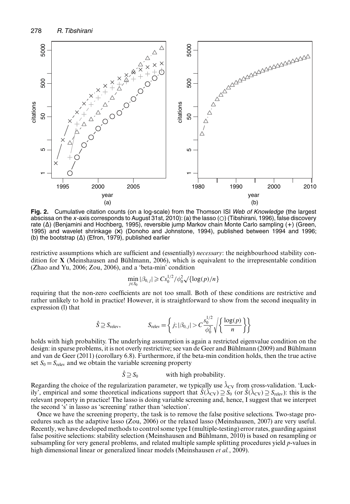

**Fig. 2.** Cumulative citation counts (on a log-scale) from the Thomson ISI *Web of Knowledge* (the largest abscissa on the *x*-axis corresponds to August 31st, 2010): (a) the lasso ( $\odot$ ) (Tibshirani, 1996), false discovery rate (Δ) (Benjamini and Hochberg, 1995), reversible jump Markov chain Monte Carlo sampling (+) (Green, 1995) and wavelet shrinkage  $(X)$  (Donoho and Johnstone, 1994), published between 1994 and 1996; (b) the bootstrap  $(\Delta)$  (Efron, 1979), published earlier

restrictive assumptions which are sufficient and (essentially) *necessary*: the neighbourhood stability condition for **X** (Meinshausen and Bühlmann, 2006), which is equivalent to the irrepresentable condition (Zhao and Yu, 2006; Zou, 2006), and a 'beta-min' condition

$$
\min_{j \in S_0} |\beta_{0,j}| \geqslant Cs_0^{1/2}/\phi_0^2 \sqrt{\log(p)/n}
$$

requiring that the non-zero coefficients are not too small. Both of these conditions are restrictive and rather unlikely to hold in practice! However, it is straightforward to show from the second inequality in expression (l) that

$$
\hat{S} \supseteq S_{\text{relev}}, \qquad S_{\text{relev}} = \left\{ j; |\beta_{0,j}| > C \frac{s_0^{1/2}}{\phi_0^2} \sqrt{\left\{ \frac{\log(p)}{n} \right\}} \right\}
$$

holds with high probability. The underlying assumption is again a restricted eigenvalue condition on the design: in sparse problems, it is not overly restrictive; see van de Geer and Bühlmann (2009) and Bühlmann and van de Geer (2011) (corollary 6.8). Furthermore, if the beta-min condition holds, then the true active set  $S_0 = S_{\text{relev}}$  and we obtain the variable screening property

$$
\hat{S} \supseteq S_0
$$
 with high probability.

Regarding the choice of the regularization parameter, we typically use  $\lambda_{CV}$  from cross-validation. 'Luckily', empirical and some theoretical indications support that  $\hat{S}(\hat{\lambda}_{CV}) \supseteq S_0$  (or  $\hat{S}(\hat{\lambda}_{CV}) \supseteq S_{relev}$ ): this is the relevant property in practice! The lasso is doing variable screening and, hence, I suggest that we interpret the second 's' in lasso as 'screening' rather than 'selection'.

Once we have the screening property, the task is to remove the false positive selections. Two-stage procedures such as the adaptive lasso (Zou, 2006) or the relaxed lasso (Meinshausen, 2007) are very useful. Recently, we have developed methods to control some type I (multiple-testing) error rates, guarding against false positive selections: stability selection (Meinshausen and Bühlmann, 2010) is based on resampling or subsampling for very general problems, and related multiple sample splitting procedures yield *p*-values in high dimensional linear or generalized linear models (Meinshausen *et al.*, 2009).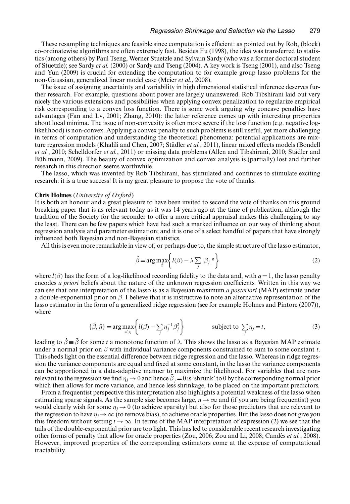These resampling techniques are feasible since computation is efficient: as pointed out by Rob, (block) co-ordinatewise algorithms are often extremely fast. Besides Fu (1998), the idea was transferred to statistics (among others) by Paul Tseng, Werner Stuetzle and Sylvain Sardy (who was a former doctoral student of Stuetzle); see Sardy *et al.* (2000) or Sardy and Tseng (2004). A key work is Tseng (2001), and also Tseng and Yun (2009) is crucial for extending the computation to for example group lasso problems for the non-Gaussian, generalized linear model case (Meier *et al.*, 2008).

The issue of assigning uncertainty and variability in high dimensional statistical inference deserves further research. For example, questions about power are largely unanswered. Rob Tibshirani laid out very nicely the various extensions and possibilities when applying convex penalization to regularize empirical risk corresponding to a convex loss function. There is some work arguing why concave penalties have advantages (Fan and Lv, 2001; Zhang, 2010): the latter reference comes up with interesting properties about local minima. The issue of non-convexity is often more severe if the loss function (e.g. negative loglikelihood) is non-convex. Applying a convex penalty to such problems is still useful, yet more challenging in terms of computation and understanding the theoretical phenomena: potential applications are mixture regression models (Khalili and Chen, 2007; Städler *et al.*, 2011), linear mixed effects models (Bondell *et al.*, 2010; Schelldorfer *et al.*, 2011) or missing data problems (Allen and Tibshirani, 2010; Städler and Bühlmann, 2009). The beauty of convex optimization and convex analysis is (partially) lost and further research in this direction seems worthwhile.

The lasso, which was invented by Rob Tibshirani, has stimulated and continues to stimulate exciting research: it is a true success! It is my great pleasure to propose the vote of thanks.

#### **Chris Holmes** (*University of Oxford*)

It is both an honour and a great pleasure to have been invited to second the vote of thanks on this ground breaking paper that is as relevant today as it was 14 years ago at the time of publication, although the tradition of the Society for the seconder to offer a more critical appraisal makes this challenging to say the least. There can be few papers which have had such a marked influence on our way of thinking about regression analysis and parameter estimation; and it is one of a select handful of papers that have strongly influenced both Bayesian and non-Bayesian statistics.

All this is even more remarkable in view of, or perhaps due to, the simple structure of the lasso estimator,

$$
\hat{\beta} = \arg \max_{\beta} \left\{ l(\beta) - \lambda \sum_{j} |\beta_{j}|^{q} \right\}
$$
 (2)

where  $l(\beta)$  has the form of a log-likelihood recording fidelity to the data and, with  $q=1$ , the lasso penalty encodes *a priori* beliefs about the nature of the unknown regression coefficients. Written in this way we can see that one interpretation of the lasso is as a Bayesian maximum *a posteriori* (MAP) estimate under a double-exponential prior on  $\beta$ . I believe that it is instructive to note an alternative representation of the lasso estimator in the form of a generalized ridge regression (see for example Holmes and Pintore (2007)), where

$$
\{\tilde{\beta}, \tilde{\eta}\} = \arg \max_{\beta, \eta} \left\{ l(\beta) - \sum_{j} \eta_{j}^{-1} \beta_{j}^{2} \right\} \qquad \text{subject to } \sum_{j} \eta_{j} = t,
$$
\n(3)

leading to  $\hat{\beta} \equiv \hat{\beta}$  for some t a monotone function of  $\lambda$ . This shows the lasso as a Bayesian MAP estimate under a normal prior on  $\beta$  with individual variance components constrained to sum to some constant *t*. This sheds light on the essential difference between ridge regression and the lasso. Whereas in ridge regression the variance components are equal and fixed at some constant, in the lasso the variance components can be apportioned in a data-adaptive manner to maximize the likelihood. For variables that are nonrelevant to the regression we find  $\eta_j \to 0$  and hence  $\beta_j = 0$  is 'shrunk' to 0 by the corresponding normal prior<br>which then allows for more variance, and hence less shrinkage, to be placed on the important predictors which then allows for more variance, and hence less shrinkage, to be placed on the important predictors.

From a frequentist perspective this interpretation also highlights a potential weakness of the lasso when estimating sparse signals. As the sample size becomes large,  $n \rightarrow \infty$  and (if you are being frequentist) you would clearly wish for some  $\eta_i \rightarrow 0$  (to achieve sparsity) but also for those predictors that are relevant to the regression to have  $\eta_i \to \infty$  (to remove bias), to achieve oracle properties. But the lasso does not give you this freedom without setting  $t \to \infty$ . In terms of the MAP interpretation of expression (2) we see that the tails of the double-exponential prior are too light. This has led to considerable recent research investigating other forms of penalty that allow for oracle properties (Zou, 2006; Zou and Li, 2008; Candès *et al.*, 2008). However, improved properties of the corresponding estimators come at the expense of computational tractability.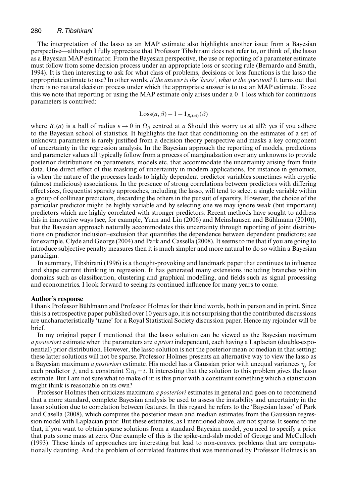#### 280 *R. Tibshirani*

The interpretation of the lasso as an MAP estimate also highlights another issue from a Bayesian perspective—although I fully appreciate that Professor Tibshirani does not refer to, or think of, the lasso as a Bayesian MAP estimator. From the Bayesian perspective, the use or reporting of a parameter estimate must follow from some decision process under an appropriate loss or scoring rule (Bernardo and Smith, 1994). It is then interesting to ask for what class of problems, decisions or loss functions is the lasso the appropriate estimate to use? In other words, *if the answer is the 'lasso', what is the question?* It turns out that there is no natural decision process under which the appropriate answer is to use an MAP estimate. To see this we note that reporting or using the MAP estimate only arises under a  $0-1$  loss which for continuous parameters is contrived:

$$
Loss(a, \beta) - 1 - \mathbf{1}_{B_{\varepsilon}(a)}(\beta)
$$

where  $B_{\varepsilon}(a)$  is a ball of radius  $\varepsilon \to 0$  in  $\Omega_{\beta}$  centred at *a* Should this worry us at all?: yes if you adhere to the Bayesian school of statistics. It highlights the fact that conditioning on the estimates of a set of unknown parameters is rarely justified from a decision theory perspective and masks a key component of uncertainty in the regression analysis. In the Bayesian approach the reporting of models, predictions and parameter values all typically follow from a process of marginalzation over any unknowns to provide posterior distributions on parameters, models etc. that accommodate the uncertainty arising from finite data. One direct effect of this masking of uncertainty in modern applications, for instance in genomics, is when the nature of the processes leads to highly dependent predictor variables sometimes with cryptic (almost malicious) associations. In the presence of strong correlations between predictors with differing effect sizes, frequentist sparsity approaches, including the lasso, will tend to select a single variable within a group of collinear predictors, discarding the others in the pursuit of sparsity. However, the choice of the particular predictor might be highly variable and by selecting one we may ignore weak (but important) predictors which are highly correlated with stronger predictors. Recent methods have sought to address this in innovative ways (see, for example, Yuan and Lin (2006) and Meinshausen and Bühlmann (2010)), but the Bayesian approach naturally accommodates this uncertainty through reporting of joint distributions on predictor inclusion–exclusion that quantifies the dependence between dependent predictors; see for example, Clyde and George (2004) and Park and Cassella (2008). It seems to me that if you are going to introduce subjective penalty measures then it is much simpler and more natural to do so within a Bayesian paradigm.

In summary, Tibshirani (1996) is a thought-provoking and landmark paper that continues to influence and shape current thinking in regression. It has generated many extensions including branches within domains such as classification, clustering and graphical modelling, and fields such as signal processing and econometrics. I look forward to seeing its continued influence for many years to come.

#### **Author's response**

I thank Professor Bühlmann and Professor Holmes for their kind words, both in person and in print. Since this is a retrospective paper published over 10 years ago, it is not surprising that the contributed discussions are uncharacteristically 'tame' for a Royal Statistical Society discussion paper. Hence my rejoinder will be brief.

In my original paper I mentioned that the lasso solution can be viewed as the Bayesian maximum *a posteriori* estimate when the parameters are *a priori* independent, each having a Laplacian (double-exponential) prior distribution. However, the lasso solution is not the posterior mean or median in that setting: these latter solutions will not be sparse. Professor Holmes presents an alternative way to view the lasso as a Bayesian maximum *a posteriori* estimate. His model has a Gaussian prior with unequal variances <sup>η</sup><sup>j</sup> for each predictor j, and a constraint  $\Sigma \eta_i = t$ . It interesting that the solution to this problem gives the lasso estimate. But I am not sure what to make of it: is this prior with a constraint something which a statistician might think is reasonable on its own?

Professor Holmes then criticizes maximum *a posteriori* estimates in general and goes on to recommend that a more standard, complete Bayesian analysis be used to assess the instability and uncertainty in the lasso solution due to correlation between features. In this regard he refers to the 'Bayesian lasso' of Park and Casella (2008), which computes the posterior mean and median estimates from the Gaussian regression model with Laplacian prior. But these estimates, as I mentioned above, are not sparse. It seems to me that, if you want to obtain sparse solutions from a standard Bayesian model, you need to specify a prior that puts some mass at zero. One example of this is the spike-and-slab model of George and McCulloch (1993). These kinds of approaches are interesting but lead to non-convex problems that are computationally daunting. And the problem of correlated features that was mentioned by Professor Holmes is an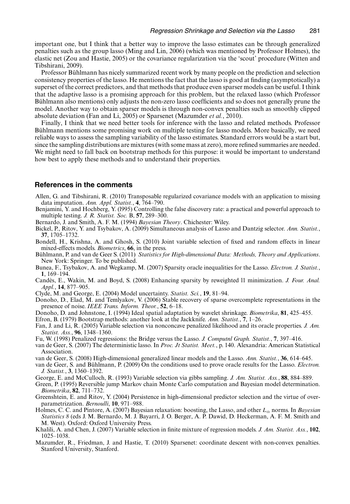important one, but I think that a better way to improve the lasso estimates can be through generalized penalties such as the group lasso (Ming and Lin, 2006) (which was mentioned by Professor Holmes), the elastic net (Zou and Hastie, 2005) or the covariance regularization via the 'scout' procedure (Witten and Tibshirani, 2009).

Professor Bühlmann has nicely summarized recent work by many people on the prediction and selection consistency properties of the lasso. He mentions the fact that the lasso is good at finding (asymptotically) a superset of the correct predictors, and that methods that produce even sparser models can be useful. I think that the adaptive lasso is a promising approach for this problem, but the relaxed lasso (which Professor Bühlmann also mentions) only adjusts the non-zero lasso coefficients and so does not generally prune the model. Another way to obtain sparser models is through non-convex penalties such as smoothly clipped absolute deviation (Fan and Li, 2005) or Sparsenet (Mazumder *et al.*, 2010).

Finally, I think that we need better tools for inference with the lasso and related methods. Professor Bühlmann mentions some promising work on multiple testing for lasso models. More basically, we need reliable ways to assess the sampling variability of the lasso estimates. Standard errors would be a start but, since the sampling distributions are mixtures (with some mass at zero), more refined summaries are needed. We might need to fall back on bootstrap methods for this purpose: it would be important to understand how best to apply these methods and to understand their properties.

### **References in the comments**

- Allen, G. and Tibshirani, R. (2010) Transposable regularized covariance models with an application to missing data imputation. *Ann. Appl. Statist.*, **4**, 764–790.
- Benjamini, Y. and Hochberg, Y. (l995) Controlling the false discovery rate: a practical and powerful approach to multiple testing. *J. R. Statist. Soc.* B, **57**, 289–300.
- Bernardo, J. and Smith, A. F. M. (1994) *Bayesian Theory*. Chichester: Wiley.
- Bickel, P., Ritov, Y. and Tsybakov, A. (2009) Simultaneous analysis of Lasso and Dantzig selector. *Ann. Statist.*, **37**, 1705–1732.
- Bondell, H., Krishna, A. and Ghosh, S. (2010) Joint variable selection of fixed and random effects in linear mixed-effects models. *Biometrics*, **66**, in the press.
- Bühlmann, P. and van de Geer S. (2011) *Statistics for High-dimensional Data: Methods, Theory and Applications*. New York: Springer. To be published.
- Bunea, F., Tsybakov, A. and Wegkamp, M. (2007) Sparsity oracle inequalities for the Lasso. *Electron. J. Statist.*, **1**, 169–194.
- Candès, E., Wakin, M. and Boyd, S. (2008) Enhancing sparsity by reweighted l1 minimization. *J. Four. Anal. Appl.*, **14**, 877–905.
- Clyde, M. and George, E. (2004) Model uncertainty. *Statist. Sci.*, **19**, 81–94.
- Donoho, D., Elad, M. and Temlyakov, V. (2006) Stable recovery of sparse overcomplete representations in the presence of noise. *IEEE Trans. Inform. Theor.*, **52**, 6–18.
- Donoho, D. and Johnstone, I. (1994) Ideal spatial adaptation by wavelet shrinkage. *Biometrika*, **81**, 425–455.
- Efron, B. (1979) Bootstrap methods: another look at the Jackknife. *Ann. Statist.*, **7**, 1–26.
- Fan, J. and Li, R. (2005) Variable selection via nonconcave penalized likelihood and its oracle properties. *J. Am. Statist. Ass.*, **96**, 1348–1360.
- Fu, W. (1998) Penalized regressions: the Bridge versus the Lasso. *J. Computnl Graph. Statist.*, **7**, 397–416.
- van de Geer, S. (2007) The deterministic lasso. In *Proc. Jt Statist. Meet.*, p. 140. Alexandria: American Statistical Association.
- van de Geer, S. (2008) High-dimensional generalized linear models and the Lasso. *Ann. Statist.*, **36**, 614–645.
- van de Geer, S. and Bühlmann, P. (2009) On the conditions used to prove oracle results for the Lasso. *Electron. J. Statist.*, **3**, 1360–1392.
- George, E. and McCulloch, R. (1993) Variable selection via gibbs sampling. *J. Am. Statist. Ass.*, **88**, 884–889.
- Green, P. (1995) Reversible jump Markov chain Monte Carlo computation and Bayesian model determination. *Biometrika*, **82**, 711–732.
- Greenshtein, E. and Ritov, Y. (2004) Persistence in high-dimensional predictor selection and the virtue of overparametrization. *Bernoulli*, **10**, 971–988.
- Holmes, C. C. and Pintore, A. (2007) Bayesian relaxation: boosting, the Lasso, and other <sup>L</sup>α norms. In *Bayesian Statistics 8* (eds J. M. Bernardo, M. J. Bayarri, J. O. Berger, A. P. Dawid, D. Heckerman, A. F. M. Smith and M. West). Oxford: Oxford University Press.
- Khalili, A. and Chen, J. (2007) Variable selection in finite mixture of regression models. *J. Am. Statist. Ass.*, **102**, 1025–1038.
- Mazumder, R., Friedman, J. and Hastie, T. (2010) Sparsenet: coordinate descent with non-convex penalties. Stanford University, Stanford.